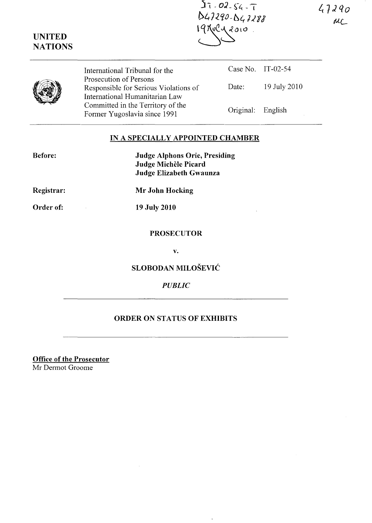$47290$  $AC$ 

| $27 - 02 - 54 - 7$ |
|--------------------|
| D47290-D47288      |
| 191092010.         |
| $\leftarrow$       |

|  | International Tribunal for the<br>Prosecution of Persons                | Case No. IT-02-54 |              |
|--|-------------------------------------------------------------------------|-------------------|--------------|
|  | Responsible for Serious Violations of<br>International Humanitarian Law | Date:             | 19 July 2010 |
|  | Committed in the Territory of the<br>Former Yugoslavia since 1991       | Original: English |              |

# IN A SPECIALLY APPOINTED CHAMBER

| <b>Before:</b> | <b>Judge Alphons Orie, Presiding</b><br>Judge Michèle Picard |  |
|----------------|--------------------------------------------------------------|--|
|                | Judge Elizabeth Gwaunza                                      |  |
| Registrar:     | Mr John Hocking                                              |  |

Registrar:

Order of:

 $\mathcal{L}^{\text{max}}_{\text{max}}$  and  $\mathcal{L}^{\text{max}}_{\text{max}}$ 

UNITED **NATIONS** 

19 July 2010

#### PROSECUTOR

v.

SLOBODAN MILOSEVIC

## *PUBLIC*

# ORDER ON STATUS OF EXHIBITS

 $\ddot{\phantom{a}}$ 

Office of the Prosecutor Mr Dermot Groome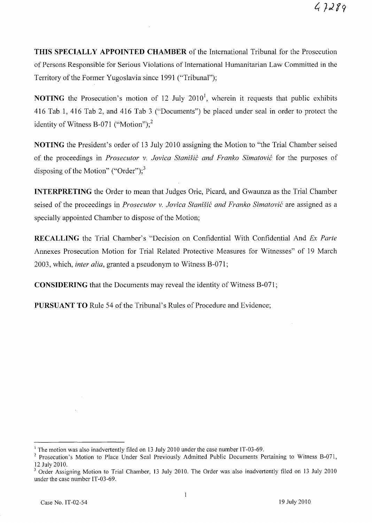**THIS SPECIALLY APPOINTED CHAMBER** of the International Tribunal for the Prosecution of Persons Responsible for Serious Violations of International Humanitarian Law Committed in the Territory of the Former Yugoslavia since 1991 ("Tribunal");

**NOTING** the Prosecution's motion of 12 July 2010<sup>1</sup>, wherein it requests that public exhibits 416 Tab 1, 416 Tab 2, and 416 Tab 3 ("Documents") be placed under seal in order to protect the identity of Witness B-071 ("Motion");<sup>2</sup>

**NOTING** the President's order of 13 July 2010 assigning the Motion to "the Trial Chamber seised of the proceedings in *Prosecutor v. Jovica Stanisit and Franko Simatovit* for the purposes of disposing of the Motion" ("Order");<sup>3</sup>

**INTERPRETING** the Order to mean that Judges Orie, Picard, and Gwaunza as the Trial Chamber seised of the proceedings in *Prosecutor v. Jovica Stanišić and Franko Simatović* are assigned as a specially appointed Chamber to dispose of the Motion;

**RECALLING** the Trial Chamber's "Decision on Confidential With Confidential And *Ex Parte*  Annexes Prosecution Motion for Trial Related Protective Measures for Witnesses" of 19 March 2003, which, *inter alia,* granted a pseudonym to Witness B-071;

**CONSIDERING** that the Documents may reveal the identity of Witness B-071;

**PURSUANT TO** Rule 54 of the Tribunal's Rules of Procedure and Evidence;

<sup>&</sup>lt;sup>1</sup> The motion was also inadvertently filed on 13 July 2010 under the case number IT-03-69.

<sup>&</sup>lt;sup>2</sup> Prosecution's Motion to Place Under Seal Previously Admitted Public Documents Pertaining to Witness B-071, 12 July 2010.

<sup>&</sup>lt;sup>3</sup> Order Assigning Motion to Trial Chamber, 13 July 2010. The Order was also inadvertently filed on 13 July 2010 under the case number IT-03-69.